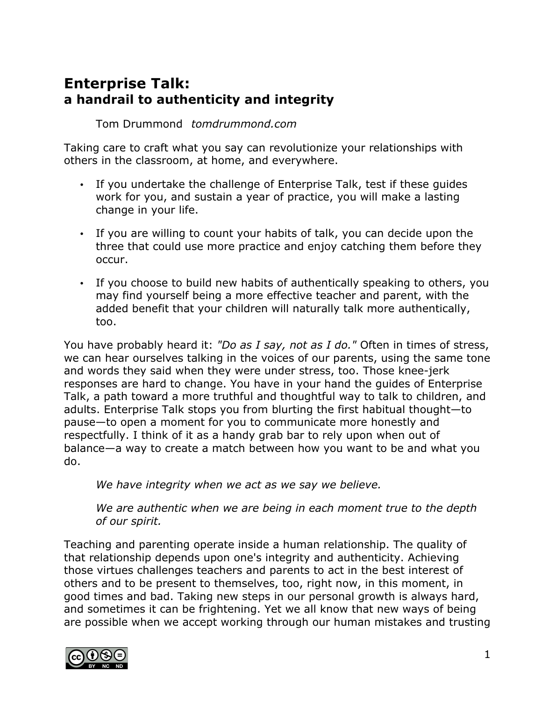# **Enterprise Talk: a handrail to authenticity and integrity**

Tom Drummond *tomdrummond.com*

Taking care to craft what you say can revolutionize your relationships with others in the classroom, at home, and everywhere.

- If you undertake the challenge of Enterprise Talk, test if these guides work for you, and sustain a year of practice, you will make a lasting change in your life.
- If you are willing to count your habits of talk, you can decide upon the three that could use more practice and enjoy catching them before they occur.
- If you choose to build new habits of authentically speaking to others, you may find yourself being a more effective teacher and parent, with the added benefit that your children will naturally talk more authentically, too.

You have probably heard it: *"Do as I say, not as I do."* Often in times of stress, we can hear ourselves talking in the voices of our parents, using the same tone and words they said when they were under stress, too. Those knee-jerk responses are hard to change. You have in your hand the guides of Enterprise Talk, a path toward a more truthful and thoughtful way to talk to children, and adults. Enterprise Talk stops you from blurting the first habitual thought—to pause—to open a moment for you to communicate more honestly and respectfully. I think of it as a handy grab bar to rely upon when out of balance—a way to create a match between how you want to be and what you do.

*We have integrity when we act as we say we believe.*

*We are authentic when we are being in each moment true to the depth of our spirit.*

Teaching and parenting operate inside a human relationship. The quality of that relationship depends upon one's integrity and authenticity. Achieving those virtues challenges teachers and parents to act in the best interest of others and to be present to themselves, too, right now, in this moment, in good times and bad. Taking new steps in our personal growth is always hard, and sometimes it can be frightening. Yet we all know that new ways of being are possible when we accept working through our human mistakes and trusting

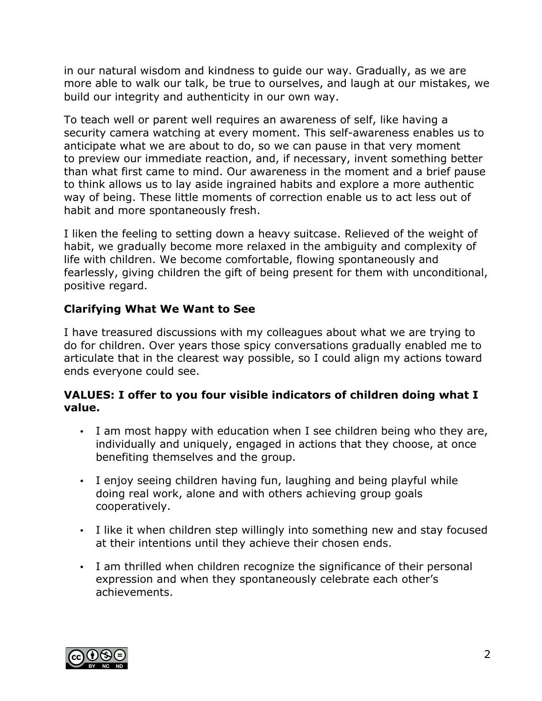in our natural wisdom and kindness to guide our way. Gradually, as we are more able to walk our talk, be true to ourselves, and laugh at our mistakes, we build our integrity and authenticity in our own way.

To teach well or parent well requires an awareness of self, like having a security camera watching at every moment. This self-awareness enables us to anticipate what we are about to do, so we can pause in that very moment to preview our immediate reaction, and, if necessary, invent something better than what first came to mind. Our awareness in the moment and a brief pause to think allows us to lay aside ingrained habits and explore a more authentic way of being. These little moments of correction enable us to act less out of habit and more spontaneously fresh.

I liken the feeling to setting down a heavy suitcase. Relieved of the weight of habit, we gradually become more relaxed in the ambiguity and complexity of life with children. We become comfortable, flowing spontaneously and fearlessly, giving children the gift of being present for them with unconditional, positive regard.

## **Clarifying What We Want to See**

I have treasured discussions with my colleagues about what we are trying to do for children. Over years those spicy conversations gradually enabled me to articulate that in the clearest way possible, so I could align my actions toward ends everyone could see.

### **VALUES: I offer to you four visible indicators of children doing what I value.**

- I am most happy with education when I see children being who they are, individually and uniquely, engaged in actions that they choose, at once benefiting themselves and the group.
- I enjoy seeing children having fun, laughing and being playful while doing real work, alone and with others achieving group goals cooperatively.
- I like it when children step willingly into something new and stay focused at their intentions until they achieve their chosen ends.
- I am thrilled when children recognize the significance of their personal expression and when they spontaneously celebrate each other's achievements.

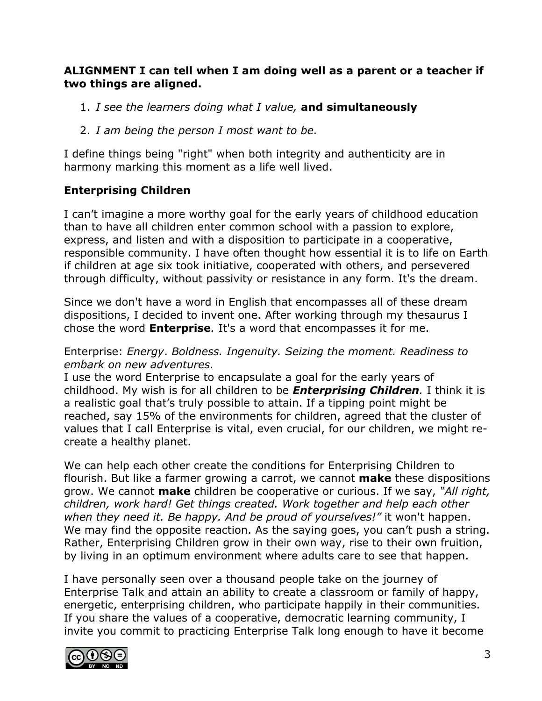### **ALIGNMENT I can tell when I am doing well as a parent or a teacher if two things are aligned.**

- 1. *I see the learners doing what I value,* **and simultaneously**
- 2. *I am being the person I most want to be.*

I define things being "right" when both integrity and authenticity are in harmony marking this moment as a life well lived.

### **Enterprising Children**

I can't imagine a more worthy goal for the early years of childhood education than to have all children enter common school with a passion to explore, express, and listen and with a disposition to participate in a cooperative, responsible community. I have often thought how essential it is to life on Earth if children at age six took initiative, cooperated with others, and persevered through difficulty, without passivity or resistance in any form. It's the dream.

Since we don't have a word in English that encompasses all of these dream dispositions, I decided to invent one. After working through my thesaurus I chose the word **Enterprise***.* It's a word that encompasses it for me.

#### Enterprise: *Energy*. *Boldness. Ingenuity. Seizing the moment. Readiness to embark on new adventures.*

I use the word Enterprise to encapsulate a goal for the early years of childhood. My wish is for all children to be *Enterprising Children.* I think it is a realistic goal that's truly possible to attain. If a tipping point might be reached, say 15% of the environments for children, agreed that the cluster of values that I call Enterprise is vital, even crucial, for our children, we might recreate a healthy planet.

We can help each other create the conditions for Enterprising Children to flourish. But like a farmer growing a carrot, we cannot **make** these dispositions grow. We cannot **make** children be cooperative or curious. If we say, *"All right, children, work hard! Get things created. Work together and help each other when they need it. Be happy. And be proud of yourselves!"* it won't happen. We may find the opposite reaction. As the saying goes, you can't push a string. Rather, Enterprising Children grow in their own way, rise to their own fruition, by living in an optimum environment where adults care to see that happen.

I have personally seen over a thousand people take on the journey of Enterprise Talk and attain an ability to create a classroom or family of happy, energetic, enterprising children, who participate happily in their communities. If you share the values of a cooperative, democratic learning community, I invite you commit to practicing Enterprise Talk long enough to have it become

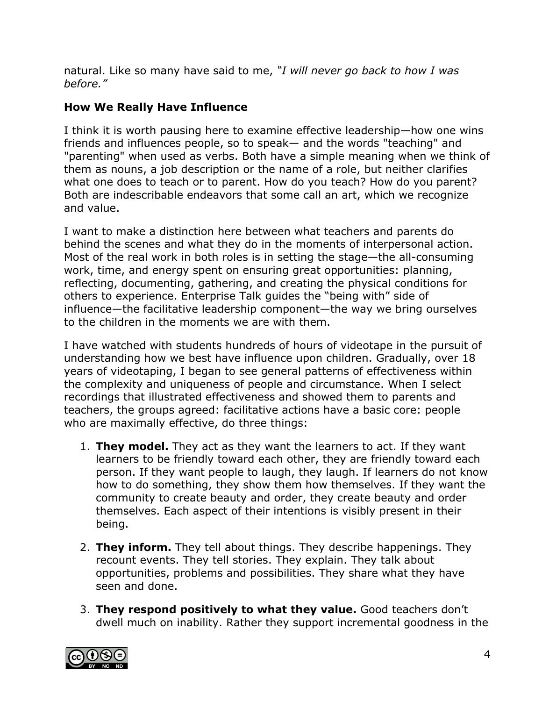natural. Like so many have said to me, *"I will never go back to how I was before."*

# **How We Really Have Influence**

I think it is worth pausing here to examine effective leadership—how one wins friends and influences people, so to speak— and the words "teaching" and "parenting" when used as verbs. Both have a simple meaning when we think of them as nouns, a job description or the name of a role, but neither clarifies what one does to teach or to parent. How do you teach? How do you parent? Both are indescribable endeavors that some call an art, which we recognize and value.

I want to make a distinction here between what teachers and parents do behind the scenes and what they do in the moments of interpersonal action. Most of the real work in both roles is in setting the stage—the all-consuming work, time, and energy spent on ensuring great opportunities: planning, reflecting, documenting, gathering, and creating the physical conditions for others to experience. Enterprise Talk guides the "being with" side of influence—the facilitative leadership component—the way we bring ourselves to the children in the moments we are with them.

I have watched with students hundreds of hours of videotape in the pursuit of understanding how we best have influence upon children. Gradually, over 18 years of videotaping, I began to see general patterns of effectiveness within the complexity and uniqueness of people and circumstance. When I select recordings that illustrated effectiveness and showed them to parents and teachers, the groups agreed: facilitative actions have a basic core: people who are maximally effective, do three things:

- 1. **They model.** They act as they want the learners to act. If they want learners to be friendly toward each other, they are friendly toward each person. If they want people to laugh, they laugh. If learners do not know how to do something, they show them how themselves. If they want the community to create beauty and order, they create beauty and order themselves. Each aspect of their intentions is visibly present in their being.
- 2. **They inform.** They tell about things. They describe happenings. They recount events. They tell stories. They explain. They talk about opportunities, problems and possibilities. They share what they have seen and done.
- 3. **They respond positively to what they value.** Good teachers don't dwell much on inability. Rather they support incremental goodness in the

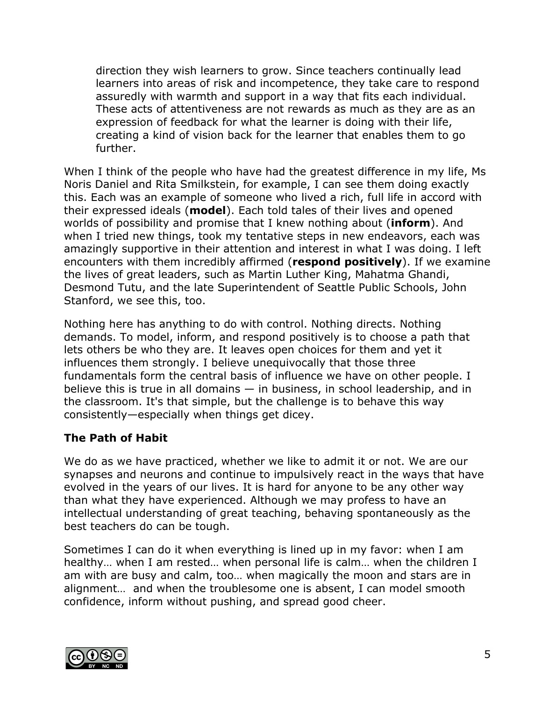direction they wish learners to grow. Since teachers continually lead learners into areas of risk and incompetence, they take care to respond assuredly with warmth and support in a way that fits each individual. These acts of attentiveness are not rewards as much as they are as an expression of feedback for what the learner is doing with their life, creating a kind of vision back for the learner that enables them to go further.

When I think of the people who have had the greatest difference in my life, Ms Noris Daniel and Rita Smilkstein, for example, I can see them doing exactly this. Each was an example of someone who lived a rich, full life in accord with their expressed ideals (**model**). Each told tales of their lives and opened worlds of possibility and promise that I knew nothing about (**inform**). And when I tried new things, took my tentative steps in new endeavors, each was amazingly supportive in their attention and interest in what I was doing. I left encounters with them incredibly affirmed (**respond positively**). If we examine the lives of great leaders, such as Martin Luther King, Mahatma Ghandi, Desmond Tutu, and the late Superintendent of Seattle Public Schools, John Stanford, we see this, too.

Nothing here has anything to do with control. Nothing directs. Nothing demands. To model, inform, and respond positively is to choose a path that lets others be who they are. It leaves open choices for them and yet it influences them strongly. I believe unequivocally that those three fundamentals form the central basis of influence we have on other people. I believe this is true in all domains — in business, in school leadership, and in the classroom. It's that simple, but the challenge is to behave this way consistently—especially when things get dicey.

## **The Path of Habit**

We do as we have practiced, whether we like to admit it or not. We are our synapses and neurons and continue to impulsively react in the ways that have evolved in the years of our lives. It is hard for anyone to be any other way than what they have experienced. Although we may profess to have an intellectual understanding of great teaching, behaving spontaneously as the best teachers do can be tough.

Sometimes I can do it when everything is lined up in my favor: when I am healthy… when I am rested… when personal life is calm… when the children I am with are busy and calm, too… when magically the moon and stars are in alignment… and when the troublesome one is absent, I can model smooth confidence, inform without pushing, and spread good cheer.

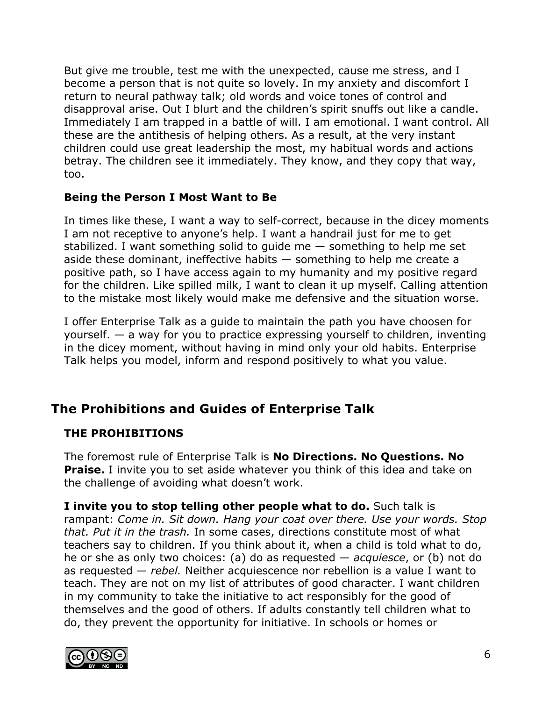But give me trouble, test me with the unexpected, cause me stress, and I become a person that is not quite so lovely. In my anxiety and discomfort I return to neural pathway talk; old words and voice tones of control and disapproval arise. Out I blurt and the children's spirit snuffs out like a candle. Immediately I am trapped in a battle of will. I am emotional. I want control. All these are the antithesis of helping others. As a result, at the very instant children could use great leadership the most, my habitual words and actions betray. The children see it immediately. They know, and they copy that way, too.

### **Being the Person I Most Want to Be**

In times like these, I want a way to self-correct, because in the dicey moments I am not receptive to anyone's help. I want a handrail just for me to get stabilized. I want something solid to guide me — something to help me set aside these dominant, ineffective habits — something to help me create a positive path, so I have access again to my humanity and my positive regard for the children. Like spilled milk, I want to clean it up myself. Calling attention to the mistake most likely would make me defensive and the situation worse.

I offer Enterprise Talk as a guide to maintain the path you have choosen for yourself. — a way for you to practice expressing yourself to children, inventing in the dicey moment, without having in mind only your old habits. Enterprise Talk helps you model, inform and respond positively to what you value.

# **The Prohibitions and Guides of Enterprise Talk**

### **THE PROHIBITIONS**

The foremost rule of Enterprise Talk is **No Directions. No Questions. No Praise.** I invite you to set aside whatever you think of this idea and take on the challenge of avoiding what doesn't work.

**I invite you to stop telling other people what to do.** Such talk is rampant: *Come in. Sit down. Hang your coat over there. Use your words. Stop that. Put it in the trash.* In some cases, directions constitute most of what teachers say to children. If you think about it, when a child is told what to do, he or she as only two choices: (a) do as requested — *acquiesce*, or (b) not do as requested — *rebel.* Neither acquiescence nor rebellion is a value I want to teach. They are not on my list of attributes of good character. I want children in my community to take the initiative to act responsibly for the good of themselves and the good of others. If adults constantly tell children what to do, they prevent the opportunity for initiative. In schools or homes or

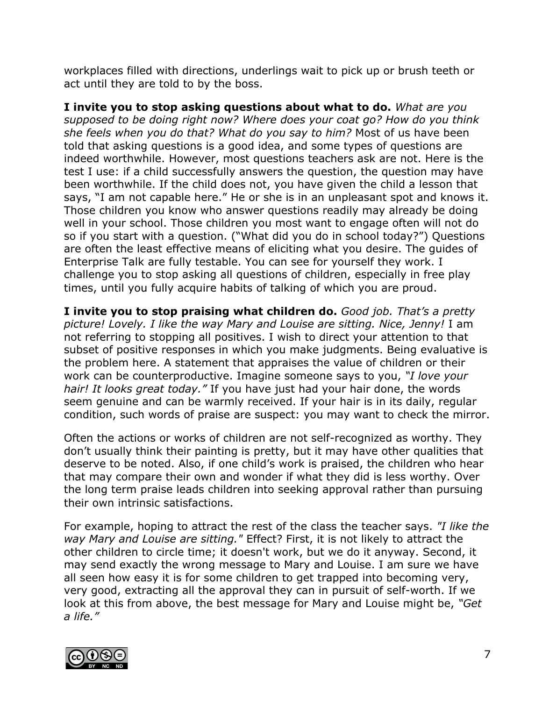workplaces filled with directions, underlings wait to pick up or brush teeth or act until they are told to by the boss.

**I invite you to stop asking questions about what to do.** *What are you supposed to be doing right now? Where does your coat go? How do you think she feels when you do that? What do you say to him?* Most of us have been told that asking questions is a good idea, and some types of questions are indeed worthwhile. However, most questions teachers ask are not. Here is the test I use: if a child successfully answers the question, the question may have been worthwhile. If the child does not, you have given the child a lesson that says, "I am not capable here." He or she is in an unpleasant spot and knows it. Those children you know who answer questions readily may already be doing well in your school. Those children you most want to engage often will not do so if you start with a question. ("What did you do in school today?") Questions are often the least effective means of eliciting what you desire. The guides of Enterprise Talk are fully testable. You can see for yourself they work. I challenge you to stop asking all questions of children, especially in free play times, until you fully acquire habits of talking of which you are proud.

**I invite you to stop praising what children do.** *Good job. That's a pretty picture! Lovely. I like the way Mary and Louise are sitting. Nice, Jenny!* I am not referring to stopping all positives. I wish to direct your attention to that subset of positive responses in which you make judgments. Being evaluative is the problem here. A statement that appraises the value of children or their work can be counterproductive. Imagine someone says to you, *"I love your hair! It looks great today."* If you have just had your hair done, the words seem genuine and can be warmly received. If your hair is in its daily, regular condition, such words of praise are suspect: you may want to check the mirror.

Often the actions or works of children are not self-recognized as worthy. They don't usually think their painting is pretty, but it may have other qualities that deserve to be noted. Also, if one child's work is praised, the children who hear that may compare their own and wonder if what they did is less worthy. Over the long term praise leads children into seeking approval rather than pursuing their own intrinsic satisfactions.

For example, hoping to attract the rest of the class the teacher says. *"I like the way Mary and Louise are sitting."* Effect? First, it is not likely to attract the other children to circle time; it doesn't work, but we do it anyway. Second, it may send exactly the wrong message to Mary and Louise. I am sure we have all seen how easy it is for some children to get trapped into becoming very, very good, extracting all the approval they can in pursuit of self-worth. If we look at this from above, the best message for Mary and Louise might be, *"Get a life."*

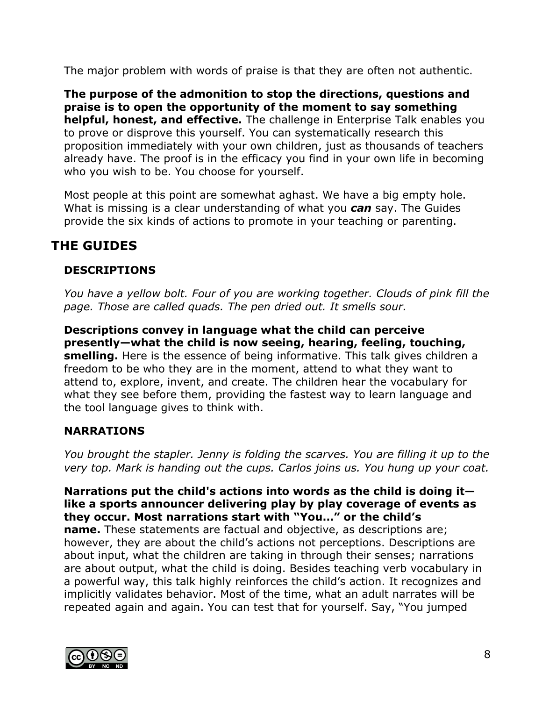The major problem with words of praise is that they are often not authentic.

**The purpose of the admonition to stop the directions, questions and praise is to open the opportunity of the moment to say something helpful, honest, and effective.** The challenge in Enterprise Talk enables you to prove or disprove this yourself. You can systematically research this proposition immediately with your own children, just as thousands of teachers already have. The proof is in the efficacy you find in your own life in becoming who you wish to be. You choose for yourself.

Most people at this point are somewhat aghast. We have a big empty hole. What is missing is a clear understanding of what you *can* say. The Guides provide the six kinds of actions to promote in your teaching or parenting.

# **THE GUIDES**

# **DESCRIPTIONS**

*You have a yellow bolt. Four of you are working together. Clouds of pink fill the page. Those are called quads. The pen dried out. It smells sour.*

**Descriptions convey in language what the child can perceive presently—what the child is now seeing, hearing, feeling, touching, smelling.** Here is the essence of being informative. This talk gives children a freedom to be who they are in the moment, attend to what they want to attend to, explore, invent, and create. The children hear the vocabulary for what they see before them, providing the fastest way to learn language and the tool language gives to think with.

## **NARRATIONS**

*You brought the stapler. Jenny is folding the scarves. You are filling it up to the very top. Mark is handing out the cups. Carlos joins us. You hung up your coat.*

#### **Narrations put the child's actions into words as the child is doing it like a sports announcer delivering play by play coverage of events as they occur. Most narrations start with "You…" or the child's**

**name.** These statements are factual and objective, as descriptions are; however, they are about the child's actions not perceptions. Descriptions are about input, what the children are taking in through their senses; narrations are about output, what the child is doing. Besides teaching verb vocabulary in a powerful way, this talk highly reinforces the child's action. It recognizes and implicitly validates behavior. Most of the time, what an adult narrates will be repeated again and again. You can test that for yourself. Say, "You jumped

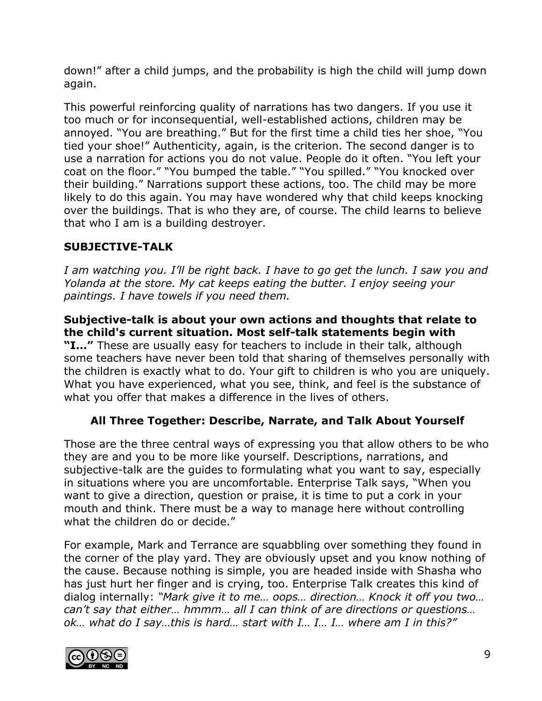down!" after a child jumps, and the probability is high the child will jump down again.

This powerful reinforcing quality of narrations has two dangers. If you use it too much or for inconsequential, well-established actions, children may be annoyed. "You are breathing." But for the first time a child ties her shoe, "You tied your shoe!" Authenticity, again, is the criterion. The second danger is to use a narration for actions you do not value. People do it often. "You left your coat on the floor." "You bumped the table." "You spilled." "You knocked over their building." Narrations support these actions, too. The child may be more likely to do this again. You may have wondered why that child keeps knocking over the buildings. That is who they are, of course. The child learns to believe that who I am is a building destroyer.

## **SUBJECTIVE-TALK**

*I am watching you. I'll be right back. I have to go get the lunch. I saw you and Yolanda at the store. My cat keeps eating the butter. I enjoy seeing your paintings. I have towels if you need them.*

### **Subjective-talk is about your own actions and thoughts that relate to the child's current situation. Most self-talk statements begin with**

**"I…"** These are usually easy for teachers to include in their talk, although some teachers have never been told that sharing of themselves personally with the children is exactly what to do. Your gift to children is who you are uniquely. What you have experienced, what you see, think, and feel is the substance of what you offer that makes a difference in the lives of others.

# **All Three Together: Describe, Narrate, and Talk About Yourself**

Those are the three central ways of expressing you that allow others to be who they are and you to be more like yourself. Descriptions, narrations, and subjective-talk are the guides to formulating what you want to say, especially in situations where you are uncomfortable. Enterprise Talk says, "When you want to give a direction, question or praise, it is time to put a cork in your mouth and think. There must be a way to manage here without controlling what the children do or decide."

For example, Mark and Terrance are squabbling over something they found in the corner of the play yard. They are obviously upset and you know nothing of the cause. Because nothing is simple, you are headed inside with Shasha who has just hurt her finger and is crying, too. Enterprise Talk creates this kind of dialog internally: *"Mark give it to me… oops… direction… Knock it off you two… can't say that either… hmmm… all I can think of are directions or questions… ok… what do I say…this is hard… start with I… I… I… where am I in this?"*

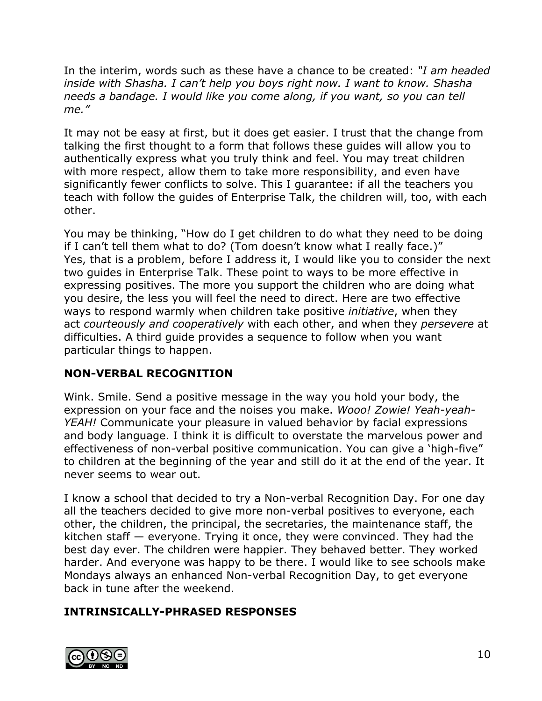In the interim, words such as these have a chance to be created: *"I am headed inside with Shasha. I can't help you boys right now. I want to know. Shasha needs a bandage. I would like you come along, if you want, so you can tell me."*

It may not be easy at first, but it does get easier. I trust that the change from talking the first thought to a form that follows these guides will allow you to authentically express what you truly think and feel. You may treat children with more respect, allow them to take more responsibility, and even have significantly fewer conflicts to solve. This I guarantee: if all the teachers you teach with follow the guides of Enterprise Talk, the children will, too, with each other.

You may be thinking, "How do I get children to do what they need to be doing if I can't tell them what to do? (Tom doesn't know what I really face.)" Yes, that is a problem, before I address it, I would like you to consider the next two guides in Enterprise Talk. These point to ways to be more effective in expressing positives. The more you support the children who are doing what you desire, the less you will feel the need to direct. Here are two effective ways to respond warmly when children take positive *initiative*, when they act *courteously and cooperatively* with each other, and when they *persevere* at difficulties. A third guide provides a sequence to follow when you want particular things to happen.

## **NON-VERBAL RECOGNITION**

Wink. Smile. Send a positive message in the way you hold your body, the expression on your face and the noises you make. *Wooo! Zowie! Yeah-yeah-YEAH!* Communicate your pleasure in valued behavior by facial expressions and body language. I think it is difficult to overstate the marvelous power and effectiveness of non-verbal positive communication. You can give a 'high-five" to children at the beginning of the year and still do it at the end of the year. It never seems to wear out.

I know a school that decided to try a Non-verbal Recognition Day. For one day all the teachers decided to give more non-verbal positives to everyone, each other, the children, the principal, the secretaries, the maintenance staff, the kitchen staff — everyone. Trying it once, they were convinced. They had the best day ever. The children were happier. They behaved better. They worked harder. And everyone was happy to be there. I would like to see schools make Mondays always an enhanced Non-verbal Recognition Day, to get everyone back in tune after the weekend.

## **INTRINSICALLY-PHRASED RESPONSES**

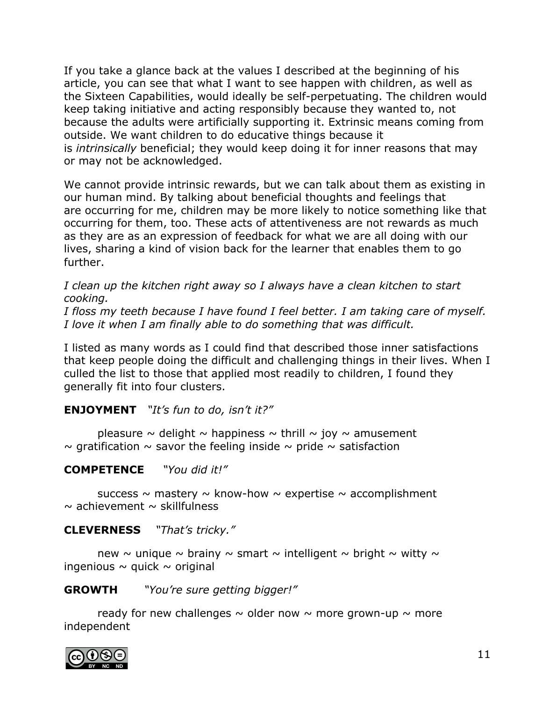If you take a glance back at the values I described at the beginning of his article, you can see that what I want to see happen with children, as well as the Sixteen Capabilities, would ideally be self-perpetuating. The children would keep taking initiative and acting responsibly because they wanted to, not because the adults were artificially supporting it. Extrinsic means coming from outside. We want children to do educative things because it is *intrinsically* beneficial; they would keep doing it for inner reasons that may or may not be acknowledged.

We cannot provide intrinsic rewards, but we can talk about them as existing in our human mind. By talking about beneficial thoughts and feelings that are occurring for me, children may be more likely to notice something like that occurring for them, too. These acts of attentiveness are not rewards as much as they are as an expression of feedback for what we are all doing with our lives, sharing a kind of vision back for the learner that enables them to go further.

*I clean up the kitchen right away so I always have a clean kitchen to start cooking.*

*I floss my teeth because I have found I feel better. I am taking care of myself. I love it when I am finally able to do something that was difficult.*

I listed as many words as I could find that described those inner satisfactions that keep people doing the difficult and challenging things in their lives. When I culled the list to those that applied most readily to children, I found they generally fit into four clusters.

**ENJOYMENT** *"It's fun to do, isn't it?"*

pleasure  $\sim$  delight  $\sim$  happiness  $\sim$  thrill  $\sim$  joy  $\sim$  amusement  $\sim$  gratification  $\sim$  savor the feeling inside  $\sim$  pride  $\sim$  satisfaction

### **COMPETENCE** *"You did it!"*

success  $\sim$  mastery  $\sim$  know-how  $\sim$  expertise  $\sim$  accomplishment  $\sim$  achievement  $\sim$  skillfulness

#### **CLEVERNESS** *"That's tricky."*

new  $\sim$  unique  $\sim$  brainy  $\sim$  smart  $\sim$  intelligent  $\sim$  bright  $\sim$  witty  $\sim$ ingenious  $\sim$  quick  $\sim$  original

**GROWTH** *"You're sure getting bigger!"*

ready for new challenges  $\sim$  older now  $\sim$  more grown-up  $\sim$  more independent

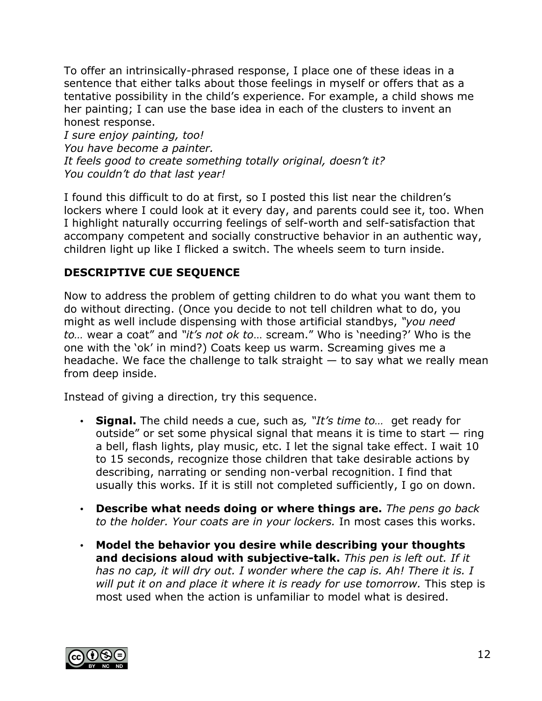To offer an intrinsically-phrased response, I place one of these ideas in a sentence that either talks about those feelings in myself or offers that as a tentative possibility in the child's experience. For example, a child shows me her painting; I can use the base idea in each of the clusters to invent an honest response.

*I sure enjoy painting, too! You have become a painter. It feels good to create something totally original, doesn't it? You couldn't do that last year!*

I found this difficult to do at first, so I posted this list near the children's lockers where I could look at it every day, and parents could see it, too. When I highlight naturally occurring feelings of self-worth and self-satisfaction that accompany competent and socially constructive behavior in an authentic way, children light up like I flicked a switch. The wheels seem to turn inside.

# **DESCRIPTIVE CUE SEQUENCE**

Now to address the problem of getting children to do what you want them to do without directing. (Once you decide to not tell children what to do, you might as well include dispensing with those artificial standbys, *"you need to…* wear a coat" and *"it's not ok to*… scream." Who is 'needing?' Who is the one with the 'ok' in mind?) Coats keep us warm. Screaming gives me a headache. We face the challenge to talk straight  $-$  to say what we really mean from deep inside.

Instead of giving a direction, try this sequence.

- **Signal.** The child needs a cue, such as*, "It's time to…* get ready for outside" or set some physical signal that means it is time to start  $-$  ring a bell, flash lights, play music, etc. I let the signal take effect. I wait 10 to 15 seconds, recognize those children that take desirable actions by describing, narrating or sending non-verbal recognition. I find that usually this works. If it is still not completed sufficiently, I go on down.
- **Describe what needs doing or where things are.** *The pens go back to the holder. Your coats are in your lockers.* In most cases this works.
- **Model the behavior you desire while describing your thoughts and decisions aloud with subjective-talk.** *This pen is left out. If it has no cap, it will dry out. I wonder where the cap is. Ah! There it is. I will put it on and place it where it is ready for use tomorrow.* This step is most used when the action is unfamiliar to model what is desired.

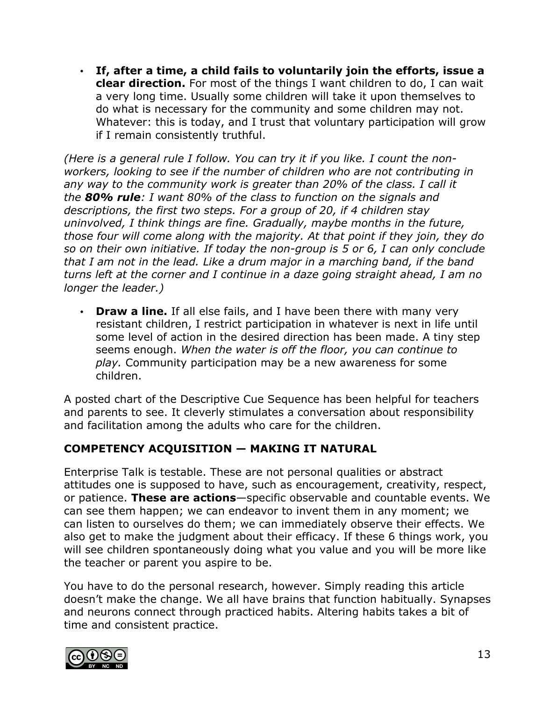• **If, after a time, a child fails to voluntarily join the efforts, issue a clear direction.** For most of the things I want children to do, I can wait a very long time. Usually some children will take it upon themselves to do what is necessary for the community and some children may not. Whatever: this is today, and I trust that voluntary participation will grow if I remain consistently truthful.

*(Here is a general rule I follow. You can try it if you like. I count the nonworkers, looking to see if the number of children who are not contributing in any way to the community work is greater than 20% of the class. I call it the 80% rule: I want 80% of the class to function on the signals and descriptions, the first two steps. For a group of 20, if 4 children stay uninvolved, I think things are fine. Gradually, maybe months in the future, those four will come along with the majority. At that point if they join, they do so on their own initiative. If today the non-group is 5 or 6, I can only conclude that I am not in the lead. Like a drum major in a marching band, if the band turns left at the corner and I continue in a daze going straight ahead, I am no longer the leader.)*

• **Draw a line.** If all else fails, and I have been there with many very resistant children, I restrict participation in whatever is next in life until some level of action in the desired direction has been made. A tiny step seems enough. *When the water is off the floor, you can continue to play.* Community participation may be a new awareness for some children.

A posted chart of the Descriptive Cue Sequence has been helpful for teachers and parents to see. It cleverly stimulates a conversation about responsibility and facilitation among the adults who care for the children.

## **COMPETENCY ACQUISITION — MAKING IT NATURAL**

Enterprise Talk is testable. These are not personal qualities or abstract attitudes one is supposed to have, such as encouragement, creativity, respect, or patience. **These are actions**—specific observable and countable events. We can see them happen; we can endeavor to invent them in any moment; we can listen to ourselves do them; we can immediately observe their effects. We also get to make the judgment about their efficacy. If these 6 things work, you will see children spontaneously doing what you value and you will be more like the teacher or parent you aspire to be.

You have to do the personal research, however. Simply reading this article doesn't make the change. We all have brains that function habitually. Synapses and neurons connect through practiced habits. Altering habits takes a bit of time and consistent practice.

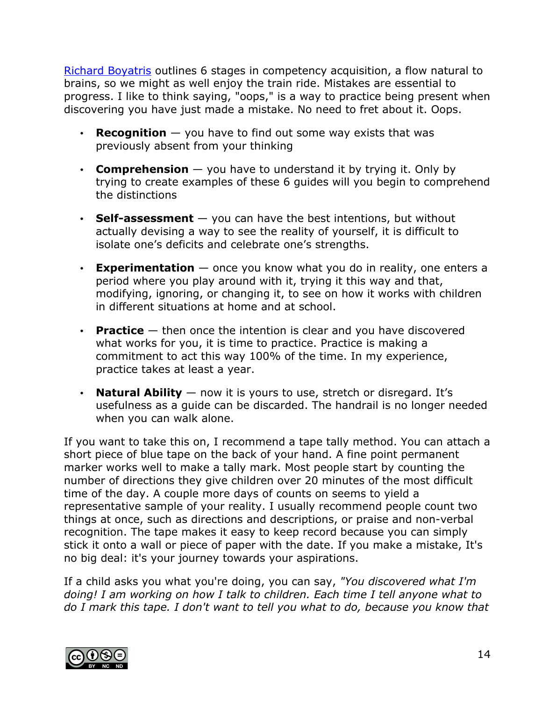Richard Boyatris outlines 6 stages in competency acquisition, a flow natural to brains, so we might as well enjoy the train ride. Mistakes are essential to progress. I like to think saying, "oops," is a way to practice being present when discovering you have just made a mistake. No need to fret about it. Oops.

- **Recognition**  $-$  you have to find out some way exists that was previously absent from your thinking
- **Comprehension** you have to understand it by trying it. Only by trying to create examples of these 6 guides will you begin to comprehend the distinctions
- **Self-assessment** you can have the best intentions, but without actually devising a way to see the reality of yourself, it is difficult to isolate one's deficits and celebrate one's strengths.
- **Experimentation** once you know what you do in reality, one enters a period where you play around with it, trying it this way and that, modifying, ignoring, or changing it, to see on how it works with children in different situations at home and at school.
- **Practice** then once the intention is clear and you have discovered what works for you, it is time to practice. Practice is making a commitment to act this way 100% of the time. In my experience, practice takes at least a year.
- **Natural Ability** now it is yours to use, stretch or disregard. It's usefulness as a guide can be discarded. The handrail is no longer needed when you can walk alone.

If you want to take this on, I recommend a tape tally method. You can attach a short piece of blue tape on the back of your hand. A fine point permanent marker works well to make a tally mark. Most people start by counting the number of directions they give children over 20 minutes of the most difficult time of the day. A couple more days of counts on seems to yield a representative sample of your reality. I usually recommend people count two things at once, such as directions and descriptions, or praise and non-verbal recognition. The tape makes it easy to keep record because you can simply stick it onto a wall or piece of paper with the date. If you make a mistake, It's no big deal: it's your journey towards your aspirations.

If a child asks you what you're doing, you can say, *"You discovered what I'm doing! I am working on how I talk to children. Each time I tell anyone what to do I mark this tape. I don't want to tell you what to do, because you know that* 

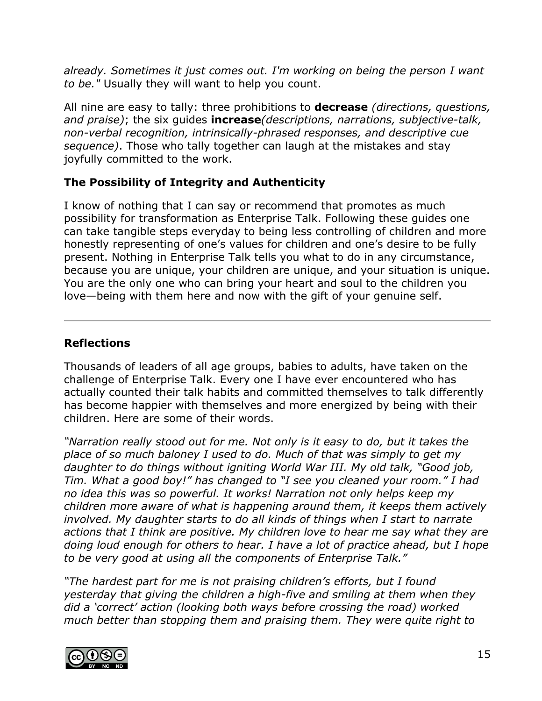*already. Sometimes it just comes out. I'm working on being the person I want to be."* Usually they will want to help you count.

All nine are easy to tally: three prohibitions to **decrease** *(directions, questions, and praise)*; the six guides **increase***(descriptions, narrations, subjective-talk, non-verbal recognition, intrinsically-phrased responses, and descriptive cue sequence)*. Those who tally together can laugh at the mistakes and stay joyfully committed to the work.

## **The Possibility of Integrity and Authenticity**

I know of nothing that I can say or recommend that promotes as much possibility for transformation as Enterprise Talk. Following these guides one can take tangible steps everyday to being less controlling of children and more honestly representing of one's values for children and one's desire to be fully present. Nothing in Enterprise Talk tells you what to do in any circumstance, because you are unique, your children are unique, and your situation is unique. You are the only one who can bring your heart and soul to the children you love—being with them here and now with the gift of your genuine self.

# **Reflections**

Thousands of leaders of all age groups, babies to adults, have taken on the challenge of Enterprise Talk. Every one I have ever encountered who has actually counted their talk habits and committed themselves to talk differently has become happier with themselves and more energized by being with their children. Here are some of their words.

*"Narration really stood out for me. Not only is it easy to do, but it takes the place of so much baloney I used to do. Much of that was simply to get my daughter to do things without igniting World War III. My old talk, "Good job, Tim. What a good boy!" has changed to "I see you cleaned your room." I had no idea this was so powerful. It works! Narration not only helps keep my children more aware of what is happening around them, it keeps them actively involved. My daughter starts to do all kinds of things when I start to narrate actions that I think are positive. My children love to hear me say what they are doing loud enough for others to hear. I have a lot of practice ahead, but I hope to be very good at using all the components of Enterprise Talk."*

*"The hardest part for me is not praising children's efforts, but I found yesterday that giving the children a high-five and smiling at them when they did a 'correct' action (looking both ways before crossing the road) worked much better than stopping them and praising them. They were quite right to*